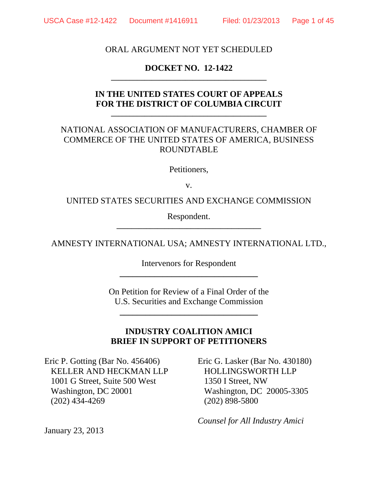### ORAL ARGUMENT NOT YET SCHEDULED

### **DOCKET NO. 12-1422 \_\_\_\_\_\_\_\_\_\_\_\_\_\_\_\_\_\_\_\_\_\_\_\_\_\_\_\_\_\_\_\_\_\_\_\_\_\_\_\_\_\_**

## **IN THE UNITED STATES COURT OF APPEALS FOR THE DISTRICT OF COLUMBIA CIRCUIT**

**\_\_\_\_\_\_\_\_\_\_\_\_\_\_\_\_\_\_\_\_\_\_\_\_\_\_\_\_\_\_\_\_\_\_\_\_\_\_\_\_\_\_** 

## NATIONAL ASSOCIATION OF MANUFACTURERS, CHAMBER OF COMMERCE OF THE UNITED STATES OF AMERICA, BUSINESS ROUNDTABLE

Petitioners,

v.

UNITED STATES SECURITIES AND EXCHANGE COMMISSION

Respondent. **\_\_\_\_\_\_\_\_\_\_\_\_\_\_\_\_\_\_\_\_\_\_\_\_\_\_\_\_\_\_\_\_\_\_\_\_\_\_\_** 

AMNESTY INTERNATIONAL USA; AMNESTY INTERNATIONAL LTD.,

Intervenors for Respondent **\_\_\_\_\_\_\_\_\_\_\_\_\_\_\_\_\_\_\_\_\_\_\_\_\_\_\_\_\_\_\_\_** 

On Petition for Review of a Final Order of the U.S. Securities and Exchange Commission

**\_\_\_\_\_\_\_\_\_\_\_\_\_\_\_\_\_\_\_\_\_\_\_\_\_\_\_\_\_\_\_\_** 

### **INDUSTRY COALITION AMICI BRIEF IN SUPPORT OF PETITIONERS**

Eric P. Gotting (Bar No. 456406) KELLER AND HECKMAN LLP 1001 G Street, Suite 500 West Washington, DC 20001 (202) 434-4269

Eric G. Lasker (Bar No. 430180) HOLLINGSWORTH LLP 1350 I Street, NW Washington, DC 20005-3305 (202) 898-5800

*Counsel for All Industry Amici* 

January 23, 2013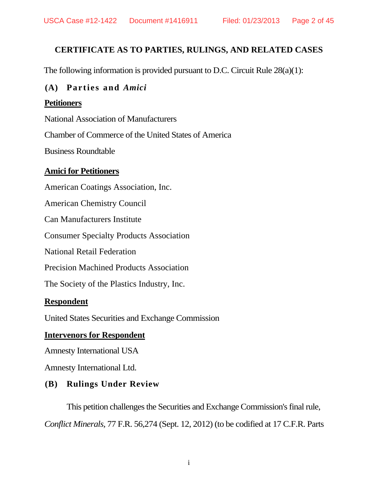# **CERTIFICATE AS TO PARTIES, RULINGS, AND RELATED CASES**

The following information is provided pursuant to D.C. Circuit Rule 28(a)(1):

### **(A) Parties and** *Amici*

### **Petitioners**

National Association of Manufacturers

Chamber of Commerce of the United States of America

Business Roundtable

### **Amici for Petitioners**

American Coatings Association, Inc.

American Chemistry Council

Can Manufacturers Institute

Consumer Specialty Products Association

National Retail Federation

Precision Machined Products Association

The Society of the Plastics Industry, Inc.

### **Respondent**

United States Securities and Exchange Commission

### **Intervenors for Respondent**

Amnesty International USA

Amnesty International Ltd.

# **(B) Rulings Under Review**

This petition challenges the Securities and Exchange Commission's final rule, *Conflict Minerals,* 77 F.R. 56,274 (Sept. 12, 2012) (to be codified at 17 C.F.R. Parts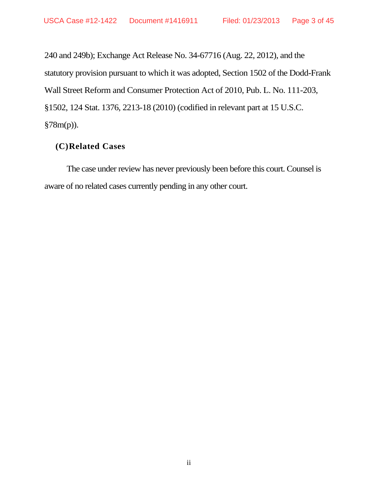240 and 249b); Exchange Act Release No. 34-67716 (Aug. 22, 2012), and the statutory provision pursuant to which it was adopted, Section 1502 of the Dodd-Frank Wall Street Reform and Consumer Protection Act of 2010, Pub. L. No. 111-203, §1502, 124 Stat. 1376, 2213-18 (2010) (codified in relevant part at 15 U.S.C. §78m(p)).

### **(C)Related Cases**

The case under review has never previously been before this court. Counsel is aware of no related cases currently pending in any other court.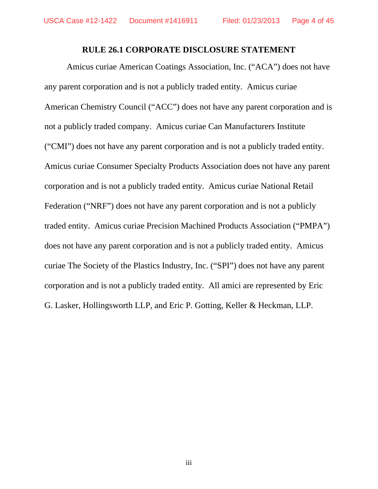### **RULE 26.1 CORPORATE DISCLOSURE STATEMENT**

Amicus curiae American Coatings Association, Inc. ("ACA") does not have any parent corporation and is not a publicly traded entity. Amicus curiae American Chemistry Council ("ACC") does not have any parent corporation and is not a publicly traded company. Amicus curiae Can Manufacturers Institute ("CMI") does not have any parent corporation and is not a publicly traded entity. Amicus curiae Consumer Specialty Products Association does not have any parent corporation and is not a publicly traded entity. Amicus curiae National Retail Federation ("NRF") does not have any parent corporation and is not a publicly traded entity. Amicus curiae Precision Machined Products Association ("PMPA") does not have any parent corporation and is not a publicly traded entity. Amicus curiae The Society of the Plastics Industry, Inc. ("SPI") does not have any parent corporation and is not a publicly traded entity. All amici are represented by Eric G. Lasker, Hollingsworth LLP, and Eric P. Gotting, Keller & Heckman, LLP.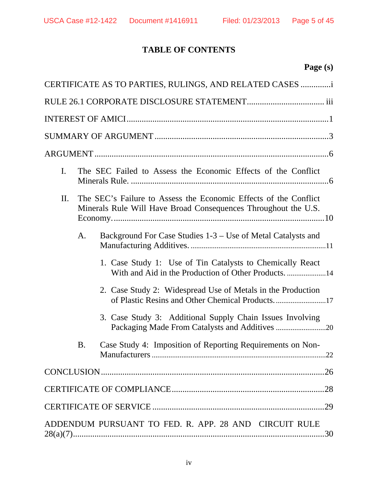# **TABLE OF CONTENTS**

|                | CERTIFICATE AS TO PARTIES, RULINGS, AND RELATED CASES                                                                              |  |  |
|----------------|------------------------------------------------------------------------------------------------------------------------------------|--|--|
|                |                                                                                                                                    |  |  |
|                |                                                                                                                                    |  |  |
|                |                                                                                                                                    |  |  |
|                |                                                                                                                                    |  |  |
| $\mathbf{I}$ . | The SEC Failed to Assess the Economic Effects of the Conflict                                                                      |  |  |
| П.             | The SEC's Failure to Assess the Economic Effects of the Conflict<br>Minerals Rule Will Have Broad Consequences Throughout the U.S. |  |  |
| A.             | Background For Case Studies 1-3 – Use of Metal Catalysts and                                                                       |  |  |
|                | 1. Case Study 1: Use of Tin Catalysts to Chemically React<br>With and Aid in the Production of Other Products. 14                  |  |  |
|                | 2. Case Study 2: Widespread Use of Metals in the Production                                                                        |  |  |
|                | 3. Case Study 3: Additional Supply Chain Issues Involving                                                                          |  |  |
| <b>B.</b>      | Case Study 4: Imposition of Reporting Requirements on Non-<br>22                                                                   |  |  |
|                |                                                                                                                                    |  |  |
|                |                                                                                                                                    |  |  |
|                |                                                                                                                                    |  |  |
|                | ADDENDUM PURSUANT TO FED. R. APP. 28 AND CIRCUIT RULE<br>30                                                                        |  |  |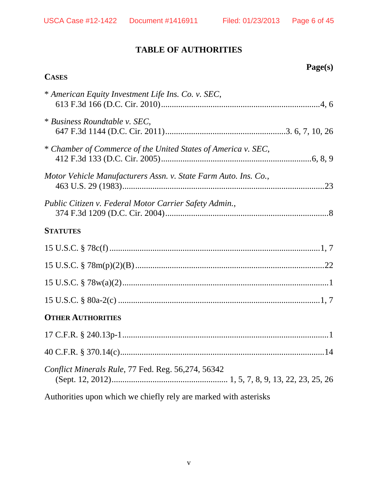**Page(s)** 

# **TABLE OF AUTHORITIES**

# **CASES**

| * American Equity Investment Life Ins. Co. v. SEC,              |
|-----------------------------------------------------------------|
| * Business Roundtable v. SEC,                                   |
| * Chamber of Commerce of the United States of America v. SEC,   |
| Motor Vehicle Manufacturers Assn. v. State Farm Auto. Ins. Co., |
| Public Citizen v. Federal Motor Carrier Safety Admin.,          |
| <b>STATUTES</b>                                                 |
|                                                                 |
|                                                                 |
|                                                                 |
|                                                                 |
| <b>OTHER AUTHORITIES</b>                                        |
|                                                                 |
|                                                                 |
| Conflict Minerals Rule, 77 Fed. Reg. 56,274, 56342              |

Authorities upon which we chiefly rely are marked with asterisks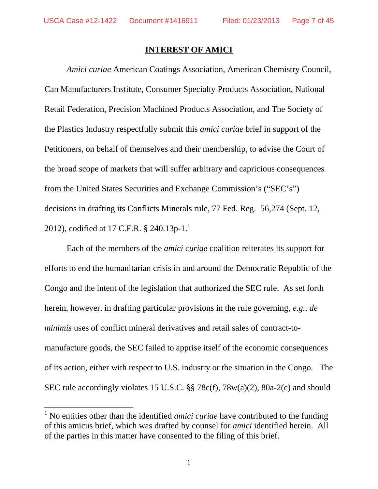$\overline{a}$ 

### **INTEREST OF AMICI**

*Amici curiae* American Coatings Association, American Chemistry Council, Can Manufacturers Institute, Consumer Specialty Products Association, National Retail Federation, Precision Machined Products Association, and The Society of the Plastics Industry respectfully submit this *amici curiae* brief in support of the Petitioners, on behalf of themselves and their membership, to advise the Court of the broad scope of markets that will suffer arbitrary and capricious consequences from the United States Securities and Exchange Commission's ("SEC's") decisions in drafting its Conflicts Minerals rule, 77 Fed. Reg. 56,274 (Sept. 12, 2012), codified at 17 C.F.R.  $\S$  240.13p-1.<sup>1</sup>

Each of the members of the *amici curiae* coalition reiterates its support for efforts to end the humanitarian crisis in and around the Democratic Republic of the Congo and the intent of the legislation that authorized the SEC rule. As set forth herein, however, in drafting particular provisions in the rule governing, *e.g.*, *de minimis* uses of conflict mineral derivatives and retail sales of contract-tomanufacture goods, the SEC failed to apprise itself of the economic consequences of its action, either with respect to U.S. industry or the situation in the Congo. The SEC rule accordingly violates 15 U.S.C. §§ 78c(f), 78w(a)(2), 80a-2(c) and should

<sup>&</sup>lt;sup>1</sup> No entities other than the identified *amici curiae* have contributed to the funding of this amicus brief, which was drafted by counsel for *amici* identified herein. All of the parties in this matter have consented to the filing of this brief.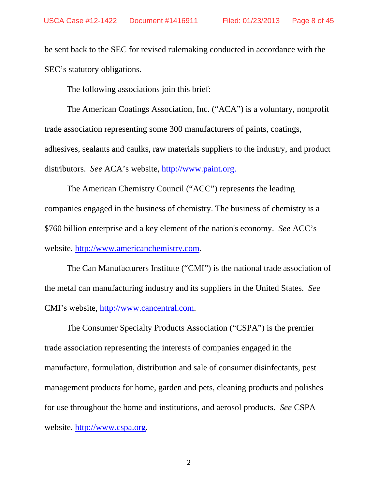be sent back to the SEC for revised rulemaking conducted in accordance with the SEC's statutory obligations.

The following associations join this brief:

The American Coatings Association, Inc. ("ACA") is a voluntary, nonprofit trade association representing some 300 manufacturers of paints, coatings, adhesives, sealants and caulks, raw materials suppliers to the industry, and product distributors. *See* ACA's website, http://www.paint.org.

The American Chemistry Council ("ACC") represents the leading companies engaged in the business of chemistry. The business of chemistry is a \$760 billion enterprise and a key element of the nation's economy. *See* ACC's website, http://www.americanchemistry.com.

The Can Manufacturers Institute ("CMI") is the national trade association of the metal can manufacturing industry and its suppliers in the United States. *See*  CMI's website, http://www.cancentral.com.

The Consumer Specialty Products Association ("CSPA") is the premier trade association representing the interests of companies engaged in the manufacture, formulation, distribution and sale of consumer disinfectants, pest management products for home, garden and pets, cleaning products and polishes for use throughout the home and institutions, and aerosol products. *See* CSPA website, http://www.cspa.org.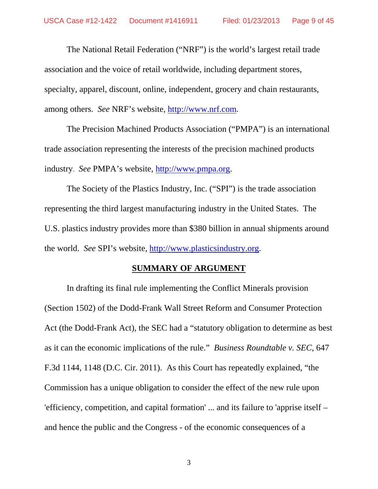The National Retail Federation ("NRF") is the world's largest retail trade association and the voice of retail worldwide, including department stores, specialty, apparel, discount, online, independent, grocery and chain restaurants, among others. *See* NRF's website, http://www.nrf.com.

The Precision Machined Products Association ("PMPA") is an international trade association representing the interests of the precision machined products industry. *See* PMPA's website, http://www.pmpa.org.

The Society of the Plastics Industry, Inc. ("SPI") is the trade association representing the third largest manufacturing industry in the United States. The U.S. plastics industry provides more than \$380 billion in annual shipments around the world. *See* SPI's website, http://www.plasticsindustry.org.

### **SUMMARY OF ARGUMENT**

In drafting its final rule implementing the Conflict Minerals provision (Section 1502) of the Dodd-Frank Wall Street Reform and Consumer Protection Act (the Dodd-Frank Act), the SEC had a "statutory obligation to determine as best as it can the economic implications of the rule." *Business Roundtable v. SEC*, 647 F.3d 1144, 1148 (D.C. Cir. 2011). As this Court has repeatedly explained, "the Commission has a unique obligation to consider the effect of the new rule upon 'efficiency, competition, and capital formation' ... and its failure to 'apprise itself – and hence the public and the Congress - of the economic consequences of a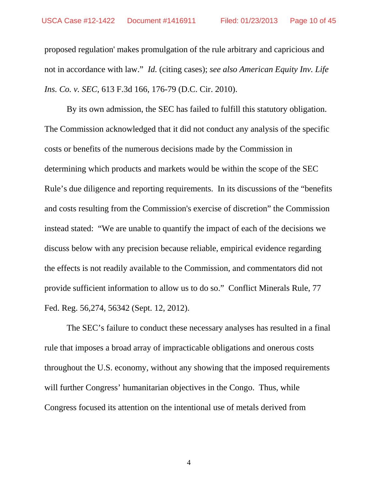proposed regulation' makes promulgation of the rule arbitrary and capricious and not in accordance with law." *Id.* (citing cases); *see also American Equity Inv. Life Ins. Co. v. SEC*, 613 F.3d 166, 176-79 (D.C. Cir. 2010).

By its own admission, the SEC has failed to fulfill this statutory obligation. The Commission acknowledged that it did not conduct any analysis of the specific costs or benefits of the numerous decisions made by the Commission in determining which products and markets would be within the scope of the SEC Rule's due diligence and reporting requirements. In its discussions of the "benefits and costs resulting from the Commission's exercise of discretion" the Commission instead stated: "We are unable to quantify the impact of each of the decisions we discuss below with any precision because reliable, empirical evidence regarding the effects is not readily available to the Commission, and commentators did not provide sufficient information to allow us to do so." Conflict Minerals Rule, 77 Fed. Reg. 56,274, 56342 (Sept. 12, 2012).

 The SEC's failure to conduct these necessary analyses has resulted in a final rule that imposes a broad array of impracticable obligations and onerous costs throughout the U.S. economy, without any showing that the imposed requirements will further Congress' humanitarian objectives in the Congo. Thus, while Congress focused its attention on the intentional use of metals derived from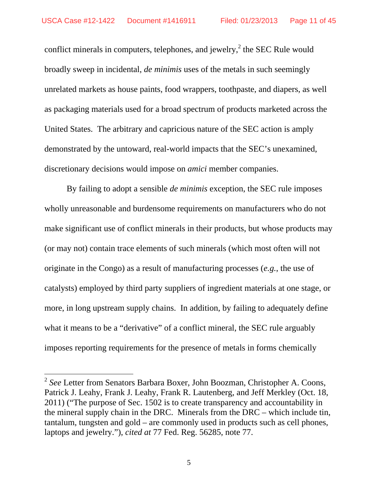conflict minerals in computers, telephones, and jewelry,  $2$  the SEC Rule would broadly sweep in incidental, *de minimis* uses of the metals in such seemingly unrelated markets as house paints, food wrappers, toothpaste, and diapers, as well as packaging materials used for a broad spectrum of products marketed across the United States. The arbitrary and capricious nature of the SEC action is amply demonstrated by the untoward, real-world impacts that the SEC's unexamined, discretionary decisions would impose on *amici* member companies.

By failing to adopt a sensible *de minimis* exception, the SEC rule imposes wholly unreasonable and burdensome requirements on manufacturers who do not make significant use of conflict minerals in their products, but whose products may (or may not) contain trace elements of such minerals (which most often will not originate in the Congo) as a result of manufacturing processes (*e.g.*, the use of catalysts) employed by third party suppliers of ingredient materials at one stage, or more, in long upstream supply chains. In addition, by failing to adequately define what it means to be a "derivative" of a conflict mineral, the SEC rule arguably imposes reporting requirements for the presence of metals in forms chemically

 $\overline{a}$ 

<sup>2</sup> *See* Letter from Senators Barbara Boxer, John Boozman, Christopher A. Coons, Patrick J. Leahy, Frank J. Leahy, Frank R. Lautenberg, and Jeff Merkley (Oct. 18, 2011) ("The purpose of Sec. 1502 is to create transparency and accountability in the mineral supply chain in the DRC. Minerals from the DRC – which include tin, tantalum, tungsten and gold – are commonly used in products such as cell phones, laptops and jewelry."), *cited at* 77 Fed. Reg. 56285, note 77.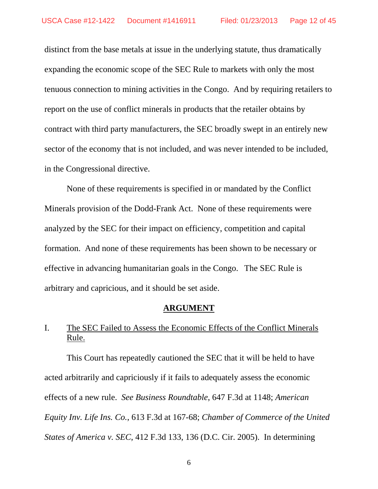distinct from the base metals at issue in the underlying statute, thus dramatically expanding the economic scope of the SEC Rule to markets with only the most tenuous connection to mining activities in the Congo. And by requiring retailers to report on the use of conflict minerals in products that the retailer obtains by contract with third party manufacturers, the SEC broadly swept in an entirely new sector of the economy that is not included, and was never intended to be included, in the Congressional directive.

None of these requirements is specified in or mandated by the Conflict Minerals provision of the Dodd-Frank Act. None of these requirements were analyzed by the SEC for their impact on efficiency, competition and capital formation. And none of these requirements has been shown to be necessary or effective in advancing humanitarian goals in the Congo. The SEC Rule is arbitrary and capricious, and it should be set aside.

### **ARGUMENT**

# I. The SEC Failed to Assess the Economic Effects of the Conflict Minerals Rule.

 This Court has repeatedly cautioned the SEC that it will be held to have acted arbitrarily and capriciously if it fails to adequately assess the economic effects of a new rule. *See Business Roundtable*, 647 F.3d at 1148; *American Equity Inv. Life Ins. Co.*, 613 F.3d at 167-68; *Chamber of Commerce of the United States of America v. SEC*, 412 F.3d 133, 136 (D.C. Cir. 2005). In determining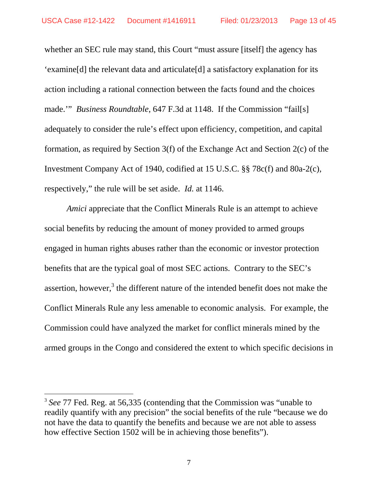whether an SEC rule may stand, this Court "must assure [itself] the agency has 'examine[d] the relevant data and articulate[d] a satisfactory explanation for its action including a rational connection between the facts found and the choices made.'" *Business Roundtable*, 647 F.3d at 1148. If the Commission "fail[s] adequately to consider the rule's effect upon efficiency, competition, and capital formation, as required by Section 3(f) of the Exchange Act and Section 2(c) of the Investment Company Act of 1940, codified at 15 U.S.C. §§ 78c(f) and 80a-2(c), respectively," the rule will be set aside. *Id.* at 1146.

*Amici* appreciate that the Conflict Minerals Rule is an attempt to achieve social benefits by reducing the amount of money provided to armed groups engaged in human rights abuses rather than the economic or investor protection benefits that are the typical goal of most SEC actions. Contrary to the SEC's assertion, however,<sup>3</sup> the different nature of the intended benefit does not make the Conflict Minerals Rule any less amenable to economic analysis. For example, the Commission could have analyzed the market for conflict minerals mined by the armed groups in the Congo and considered the extent to which specific decisions in

 $\overline{a}$ 

<sup>3</sup> *See* 77 Fed. Reg. at 56,335 (contending that the Commission was "unable to readily quantify with any precision" the social benefits of the rule "because we do not have the data to quantify the benefits and because we are not able to assess how effective Section 1502 will be in achieving those benefits").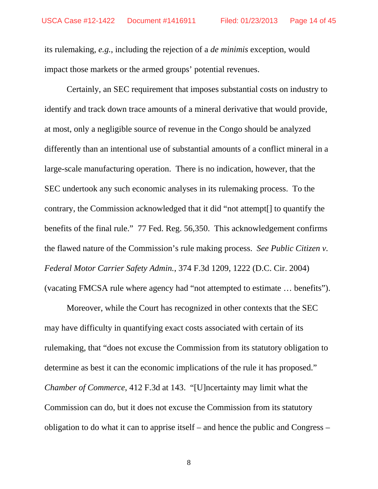its rulemaking, *e.g.*, including the rejection of a *de minimis* exception, would impact those markets or the armed groups' potential revenues.

Certainly, an SEC requirement that imposes substantial costs on industry to identify and track down trace amounts of a mineral derivative that would provide, at most, only a negligible source of revenue in the Congo should be analyzed differently than an intentional use of substantial amounts of a conflict mineral in a large-scale manufacturing operation. There is no indication, however, that the SEC undertook any such economic analyses in its rulemaking process. To the contrary, the Commission acknowledged that it did "not attempt[] to quantify the benefits of the final rule." 77 Fed. Reg. 56,350. This acknowledgement confirms the flawed nature of the Commission's rule making process. *See Public Citizen v. Federal Motor Carrier Safety Admin.*, 374 F.3d 1209, 1222 (D.C. Cir. 2004) (vacating FMCSA rule where agency had "not attempted to estimate … benefits").

Moreover, while the Court has recognized in other contexts that the SEC may have difficulty in quantifying exact costs associated with certain of its rulemaking, that "does not excuse the Commission from its statutory obligation to determine as best it can the economic implications of the rule it has proposed." *Chamber of Commerce*, 412 F.3d at 143. "[U]ncertainty may limit what the Commission can do, but it does not excuse the Commission from its statutory obligation to do what it can to apprise itself – and hence the public and Congress –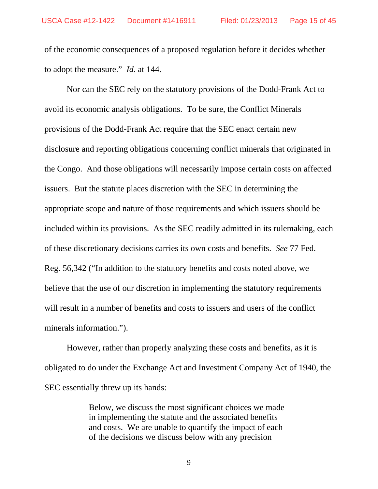of the economic consequences of a proposed regulation before it decides whether to adopt the measure." *Id.* at 144.

 Nor can the SEC rely on the statutory provisions of the Dodd-Frank Act to avoid its economic analysis obligations. To be sure, the Conflict Minerals provisions of the Dodd-Frank Act require that the SEC enact certain new disclosure and reporting obligations concerning conflict minerals that originated in the Congo. And those obligations will necessarily impose certain costs on affected issuers. But the statute places discretion with the SEC in determining the appropriate scope and nature of those requirements and which issuers should be included within its provisions. As the SEC readily admitted in its rulemaking, each of these discretionary decisions carries its own costs and benefits. *See* 77 Fed. Reg. 56,342 ("In addition to the statutory benefits and costs noted above, we believe that the use of our discretion in implementing the statutory requirements will result in a number of benefits and costs to issuers and users of the conflict minerals information.").

However, rather than properly analyzing these costs and benefits, as it is obligated to do under the Exchange Act and Investment Company Act of 1940, the SEC essentially threw up its hands:

> Below, we discuss the most significant choices we made in implementing the statute and the associated benefits and costs. We are unable to quantify the impact of each of the decisions we discuss below with any precision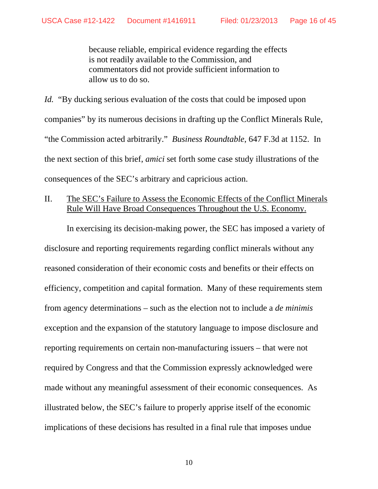because reliable, empirical evidence regarding the effects is not readily available to the Commission, and commentators did not provide sufficient information to allow us to do so.

*Id.* "By ducking serious evaluation of the costs that could be imposed upon companies" by its numerous decisions in drafting up the Conflict Minerals Rule, "the Commission acted arbitrarily." *Business Roundtable*, 647 F.3d at 1152. In the next section of this brief, *amici* set forth some case study illustrations of the consequences of the SEC's arbitrary and capricious action.

## II. The SEC's Failure to Assess the Economic Effects of the Conflict Minerals Rule Will Have Broad Consequences Throughout the U.S. Economy.

 In exercising its decision-making power, the SEC has imposed a variety of disclosure and reporting requirements regarding conflict minerals without any reasoned consideration of their economic costs and benefits or their effects on efficiency, competition and capital formation. Many of these requirements stem from agency determinations – such as the election not to include a *de minimis*  exception and the expansion of the statutory language to impose disclosure and reporting requirements on certain non-manufacturing issuers – that were not required by Congress and that the Commission expressly acknowledged were made without any meaningful assessment of their economic consequences. As illustrated below, the SEC's failure to properly apprise itself of the economic implications of these decisions has resulted in a final rule that imposes undue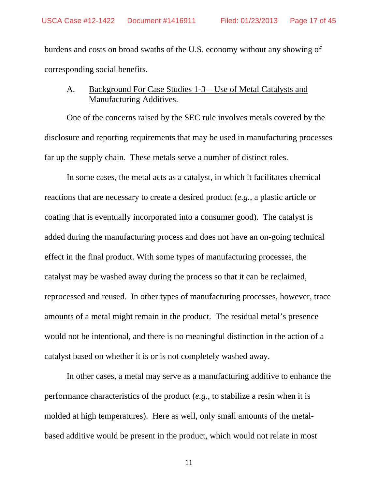burdens and costs on broad swaths of the U.S. economy without any showing of corresponding social benefits.

## A. Background For Case Studies 1-3 – Use of Metal Catalysts and Manufacturing Additives.

One of the concerns raised by the SEC rule involves metals covered by the disclosure and reporting requirements that may be used in manufacturing processes far up the supply chain. These metals serve a number of distinct roles.

In some cases, the metal acts as a catalyst, in which it facilitates chemical reactions that are necessary to create a desired product (*e.g.*, a plastic article or coating that is eventually incorporated into a consumer good). The catalyst is added during the manufacturing process and does not have an on-going technical effect in the final product. With some types of manufacturing processes, the catalyst may be washed away during the process so that it can be reclaimed, reprocessed and reused. In other types of manufacturing processes, however, trace amounts of a metal might remain in the product. The residual metal's presence would not be intentional, and there is no meaningful distinction in the action of a catalyst based on whether it is or is not completely washed away.

In other cases, a metal may serve as a manufacturing additive to enhance the performance characteristics of the product (*e.g.*, to stabilize a resin when it is molded at high temperatures). Here as well, only small amounts of the metalbased additive would be present in the product, which would not relate in most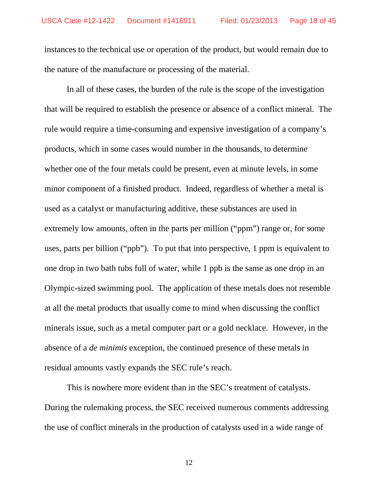instances to the technical use or operation of the product, but would remain due to the nature of the manufacture or processing of the material.

 In all of these cases, the burden of the rule is the scope of the investigation that will be required to establish the presence or absence of a conflict mineral. The rule would require a time-consuming and expensive investigation of a company's products, which in some cases would number in the thousands, to determine whether one of the four metals could be present, even at minute levels, in some minor component of a finished product. Indeed, regardless of whether a metal is used as a catalyst or manufacturing additive, these substances are used in extremely low amounts, often in the parts per million ("ppm") range or, for some uses, parts per billion ("ppb"). To put that into perspective, 1 ppm is equivalent to one drop in two bath tubs full of water, while 1 ppb is the same as one drop in an Olympic-sized swimming pool. The application of these metals does not resemble at all the metal products that usually come to mind when discussing the conflict minerals issue, such as a metal computer part or a gold necklace. However, in the absence of a *de minimis* exception, the continued presence of these metals in residual amounts vastly expands the SEC rule's reach.

 This is nowhere more evident than in the SEC's treatment of catalysts. During the rulemaking process, the SEC received numerous comments addressing the use of conflict minerals in the production of catalysts used in a wide range of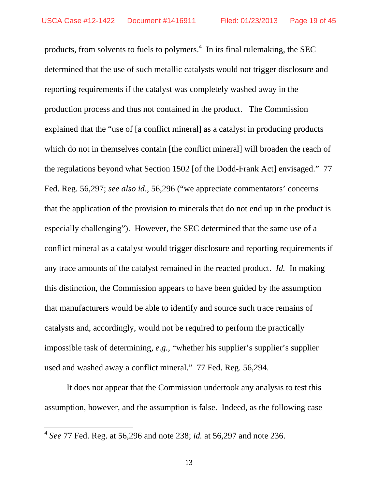products, from solvents to fuels to polymers.<sup>4</sup> In its final rulemaking, the SEC determined that the use of such metallic catalysts would not trigger disclosure and reporting requirements if the catalyst was completely washed away in the production process and thus not contained in the product. The Commission explained that the "use of [a conflict mineral] as a catalyst in producing products which do not in themselves contain [the conflict mineral] will broaden the reach of the regulations beyond what Section 1502 [of the Dodd-Frank Act] envisaged." 77 Fed. Reg. 56,297; *see also id*., 56,296 ("we appreciate commentators' concerns that the application of the provision to minerals that do not end up in the product is especially challenging"). However, the SEC determined that the same use of a conflict mineral as a catalyst would trigger disclosure and reporting requirements if any trace amounts of the catalyst remained in the reacted product. *Id.* In making this distinction, the Commission appears to have been guided by the assumption that manufacturers would be able to identify and source such trace remains of catalysts and, accordingly, would not be required to perform the practically impossible task of determining, *e.g.*, "whether his supplier's supplier's supplier used and washed away a conflict mineral." 77 Fed. Reg. 56,294.

It does not appear that the Commission undertook any analysis to test this assumption, however, and the assumption is false. Indeed, as the following case

 $\overline{a}$ 

<sup>4</sup> *See* 77 Fed. Reg. at 56,296 and note 238; *id.* at 56,297 and note 236.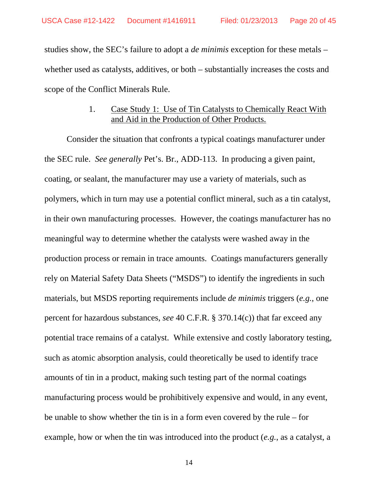studies show, the SEC's failure to adopt a *de minimis* exception for these metals – whether used as catalysts, additives, or both – substantially increases the costs and scope of the Conflict Minerals Rule.

### 1. Case Study 1: Use of Tin Catalysts to Chemically React With and Aid in the Production of Other Products.

Consider the situation that confronts a typical coatings manufacturer under the SEC rule. *See generally* Pet's. Br., ADD-113. In producing a given paint, coating, or sealant, the manufacturer may use a variety of materials, such as polymers, which in turn may use a potential conflict mineral, such as a tin catalyst, in their own manufacturing processes. However, the coatings manufacturer has no meaningful way to determine whether the catalysts were washed away in the production process or remain in trace amounts. Coatings manufacturers generally rely on Material Safety Data Sheets ("MSDS") to identify the ingredients in such materials, but MSDS reporting requirements include *de minimis* triggers (*e.g.*, one percent for hazardous substances, *see* 40 C.F.R. § 370.14(c)) that far exceed any potential trace remains of a catalyst. While extensive and costly laboratory testing, such as atomic absorption analysis, could theoretically be used to identify trace amounts of tin in a product, making such testing part of the normal coatings manufacturing process would be prohibitively expensive and would, in any event, be unable to show whether the tin is in a form even covered by the rule – for example, how or when the tin was introduced into the product (*e.g.*, as a catalyst, a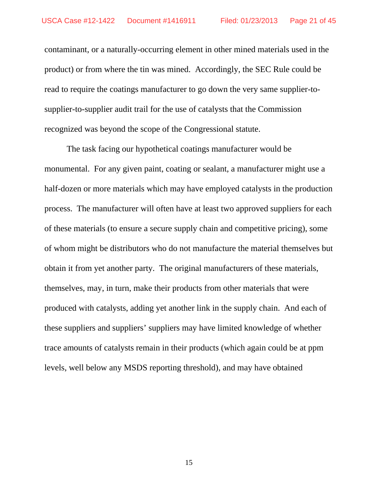contaminant, or a naturally-occurring element in other mined materials used in the product) or from where the tin was mined. Accordingly, the SEC Rule could be read to require the coatings manufacturer to go down the very same supplier-tosupplier-to-supplier audit trail for the use of catalysts that the Commission recognized was beyond the scope of the Congressional statute.

The task facing our hypothetical coatings manufacturer would be monumental. For any given paint, coating or sealant, a manufacturer might use a half-dozen or more materials which may have employed catalysts in the production process. The manufacturer will often have at least two approved suppliers for each of these materials (to ensure a secure supply chain and competitive pricing), some of whom might be distributors who do not manufacture the material themselves but obtain it from yet another party. The original manufacturers of these materials, themselves, may, in turn, make their products from other materials that were produced with catalysts, adding yet another link in the supply chain. And each of these suppliers and suppliers' suppliers may have limited knowledge of whether trace amounts of catalysts remain in their products (which again could be at ppm levels, well below any MSDS reporting threshold), and may have obtained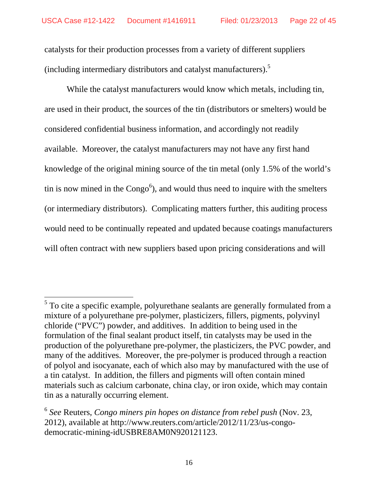catalysts for their production processes from a variety of different suppliers (including intermediary distributors and catalyst manufacturers).5

While the catalyst manufacturers would know which metals, including tin, are used in their product, the sources of the tin (distributors or smelters) would be considered confidential business information, and accordingly not readily available. Moreover, the catalyst manufacturers may not have any first hand knowledge of the original mining source of the tin metal (only 1.5% of the world's tin is now mined in the  $Congo<sup>6</sup>$ ), and would thus need to inquire with the smelters (or intermediary distributors). Complicating matters further, this auditing process would need to be continually repeated and updated because coatings manufacturers will often contract with new suppliers based upon pricing considerations and will

 $\overline{a}$ 

<sup>&</sup>lt;sup>5</sup> To cite a specific example, polyurethane sealants are generally formulated from a mixture of a polyurethane pre-polymer, plasticizers, fillers, pigments, polyvinyl chloride ("PVC") powder, and additives. In addition to being used in the formulation of the final sealant product itself, tin catalysts may be used in the production of the polyurethane pre-polymer, the plasticizers, the PVC powder, and many of the additives. Moreover, the pre-polymer is produced through a reaction of polyol and isocyanate, each of which also may by manufactured with the use of a tin catalyst. In addition, the fillers and pigments will often contain mined materials such as calcium carbonate, china clay, or iron oxide, which may contain tin as a naturally occurring element.

<sup>6</sup> *See* Reuters, *Congo miners pin hopes on distance from rebel push* (Nov. 23, 2012), available at http://www.reuters.com/article/2012/11/23/us-congodemocratic-mining-idUSBRE8AM0N920121123.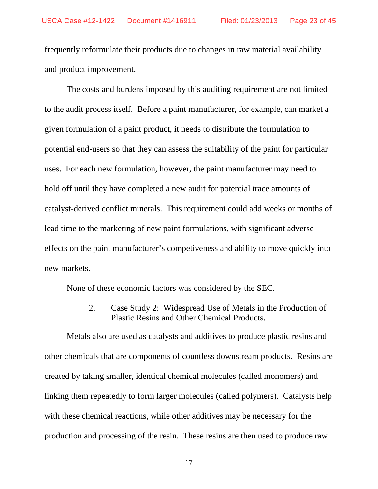frequently reformulate their products due to changes in raw material availability and product improvement.

The costs and burdens imposed by this auditing requirement are not limited to the audit process itself. Before a paint manufacturer, for example, can market a given formulation of a paint product, it needs to distribute the formulation to potential end-users so that they can assess the suitability of the paint for particular uses. For each new formulation, however, the paint manufacturer may need to hold off until they have completed a new audit for potential trace amounts of catalyst-derived conflict minerals. This requirement could add weeks or months of lead time to the marketing of new paint formulations, with significant adverse effects on the paint manufacturer's competiveness and ability to move quickly into new markets.

None of these economic factors was considered by the SEC.

2. Case Study 2: Widespread Use of Metals in the Production of Plastic Resins and Other Chemical Products.

Metals also are used as catalysts and additives to produce plastic resins and other chemicals that are components of countless downstream products. Resins are created by taking smaller, identical chemical molecules (called monomers) and linking them repeatedly to form larger molecules (called polymers). Catalysts help with these chemical reactions, while other additives may be necessary for the production and processing of the resin. These resins are then used to produce raw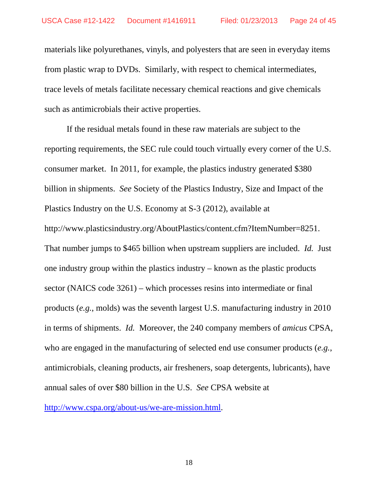materials like polyurethanes, vinyls, and polyesters that are seen in everyday items from plastic wrap to DVDs. Similarly, with respect to chemical intermediates, trace levels of metals facilitate necessary chemical reactions and give chemicals such as antimicrobials their active properties.

If the residual metals found in these raw materials are subject to the reporting requirements, the SEC rule could touch virtually every corner of the U.S. consumer market. In 2011, for example, the plastics industry generated \$380 billion in shipments. *See* Society of the Plastics Industry, Size and Impact of the Plastics Industry on the U.S. Economy at S-3 (2012), available at http://www.plasticsindustry.org/AboutPlastics/content.cfm?ItemNumber=8251. That number jumps to \$465 billion when upstream suppliers are included. *Id.* Just one industry group within the plastics industry – known as the plastic products sector (NAICS code 3261) – which processes resins into intermediate or final products (*e.g.*, molds) was the seventh largest U.S. manufacturing industry in 2010 in terms of shipments. *Id.* Moreover, the 240 company members of *amicus* CPSA, who are engaged in the manufacturing of selected end use consumer products (*e.g.*, antimicrobials, cleaning products, air fresheners, soap detergents, lubricants), have annual sales of over \$80 billion in the U.S. *See* CPSA website at

http://www.cspa.org/about-us/we-are-mission.html.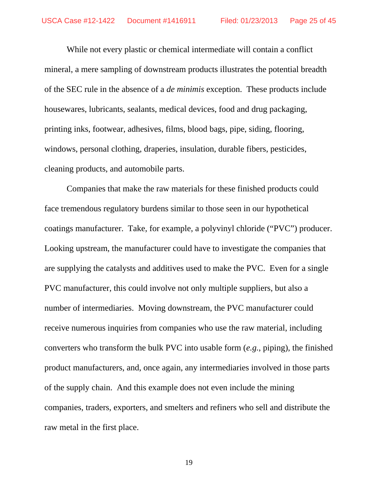While not every plastic or chemical intermediate will contain a conflict mineral, a mere sampling of downstream products illustrates the potential breadth of the SEC rule in the absence of a *de minimis* exception. These products include housewares, lubricants, sealants, medical devices, food and drug packaging, printing inks, footwear, adhesives, films, blood bags, pipe, siding, flooring, windows, personal clothing, draperies, insulation, durable fibers, pesticides, cleaning products, and automobile parts.

Companies that make the raw materials for these finished products could face tremendous regulatory burdens similar to those seen in our hypothetical coatings manufacturer. Take, for example, a polyvinyl chloride ("PVC") producer. Looking upstream, the manufacturer could have to investigate the companies that are supplying the catalysts and additives used to make the PVC. Even for a single PVC manufacturer, this could involve not only multiple suppliers, but also a number of intermediaries. Moving downstream, the PVC manufacturer could receive numerous inquiries from companies who use the raw material, including converters who transform the bulk PVC into usable form (*e.g.*, piping), the finished product manufacturers, and, once again, any intermediaries involved in those parts of the supply chain. And this example does not even include the mining companies, traders, exporters, and smelters and refiners who sell and distribute the raw metal in the first place.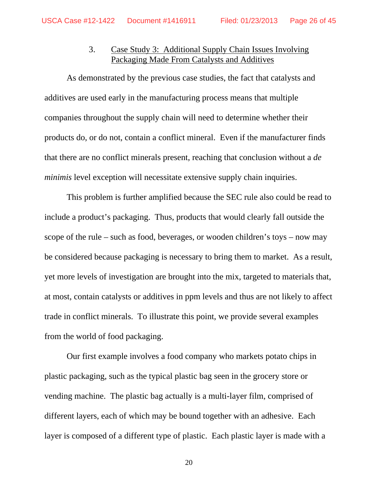# 3. Case Study 3: Additional Supply Chain Issues Involving Packaging Made From Catalysts and Additives

As demonstrated by the previous case studies, the fact that catalysts and additives are used early in the manufacturing process means that multiple companies throughout the supply chain will need to determine whether their products do, or do not, contain a conflict mineral. Even if the manufacturer finds that there are no conflict minerals present, reaching that conclusion without a *de minimis* level exception will necessitate extensive supply chain inquiries.

This problem is further amplified because the SEC rule also could be read to include a product's packaging. Thus, products that would clearly fall outside the scope of the rule – such as food, beverages, or wooden children's toys – now may be considered because packaging is necessary to bring them to market. As a result, yet more levels of investigation are brought into the mix, targeted to materials that, at most, contain catalysts or additives in ppm levels and thus are not likely to affect trade in conflict minerals. To illustrate this point, we provide several examples from the world of food packaging.

Our first example involves a food company who markets potato chips in plastic packaging, such as the typical plastic bag seen in the grocery store or vending machine. The plastic bag actually is a multi-layer film, comprised of different layers, each of which may be bound together with an adhesive. Each layer is composed of a different type of plastic. Each plastic layer is made with a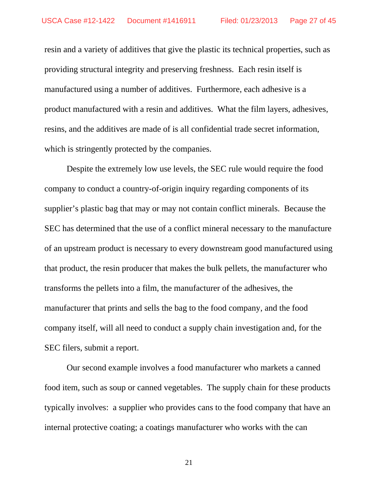resin and a variety of additives that give the plastic its technical properties, such as providing structural integrity and preserving freshness. Each resin itself is manufactured using a number of additives. Furthermore, each adhesive is a product manufactured with a resin and additives. What the film layers, adhesives, resins, and the additives are made of is all confidential trade secret information, which is stringently protected by the companies.

Despite the extremely low use levels, the SEC rule would require the food company to conduct a country-of-origin inquiry regarding components of its supplier's plastic bag that may or may not contain conflict minerals. Because the SEC has determined that the use of a conflict mineral necessary to the manufacture of an upstream product is necessary to every downstream good manufactured using that product, the resin producer that makes the bulk pellets, the manufacturer who transforms the pellets into a film, the manufacturer of the adhesives, the manufacturer that prints and sells the bag to the food company, and the food company itself, will all need to conduct a supply chain investigation and, for the SEC filers, submit a report.

Our second example involves a food manufacturer who markets a canned food item, such as soup or canned vegetables. The supply chain for these products typically involves: a supplier who provides cans to the food company that have an internal protective coating; a coatings manufacturer who works with the can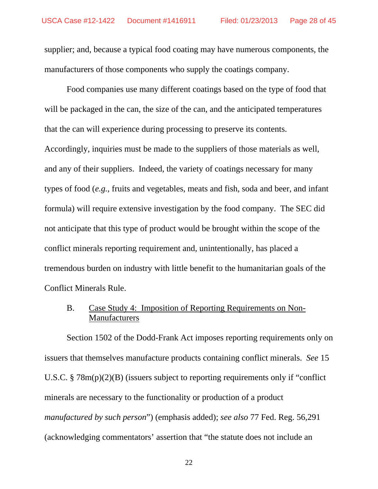supplier; and, because a typical food coating may have numerous components, the manufacturers of those components who supply the coatings company.

Food companies use many different coatings based on the type of food that will be packaged in the can, the size of the can, and the anticipated temperatures that the can will experience during processing to preserve its contents. Accordingly, inquiries must be made to the suppliers of those materials as well, and any of their suppliers. Indeed, the variety of coatings necessary for many types of food (*e.g.*, fruits and vegetables, meats and fish, soda and beer, and infant formula) will require extensive investigation by the food company. The SEC did not anticipate that this type of product would be brought within the scope of the conflict minerals reporting requirement and, unintentionally, has placed a tremendous burden on industry with little benefit to the humanitarian goals of the Conflict Minerals Rule.

B. Case Study 4: Imposition of Reporting Requirements on Non-Manufacturers

Section 1502 of the Dodd-Frank Act imposes reporting requirements only on issuers that themselves manufacture products containing conflict minerals. *See* 15 U.S.C. § 78m(p)(2)(B) (issuers subject to reporting requirements only if "conflict minerals are necessary to the functionality or production of a product *manufactured by such person*") (emphasis added); *see also* 77 Fed. Reg. 56,291 (acknowledging commentators' assertion that "the statute does not include an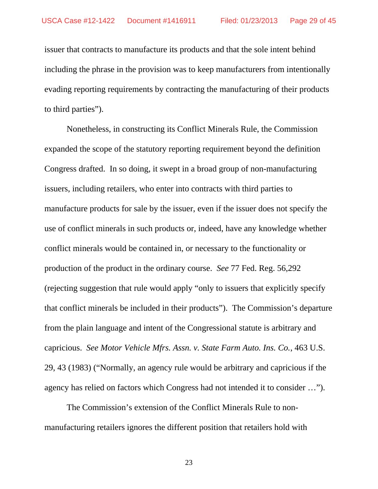issuer that contracts to manufacture its products and that the sole intent behind including the phrase in the provision was to keep manufacturers from intentionally evading reporting requirements by contracting the manufacturing of their products to third parties").

Nonetheless, in constructing its Conflict Minerals Rule, the Commission expanded the scope of the statutory reporting requirement beyond the definition Congress drafted. In so doing, it swept in a broad group of non-manufacturing issuers, including retailers, who enter into contracts with third parties to manufacture products for sale by the issuer, even if the issuer does not specify the use of conflict minerals in such products or, indeed, have any knowledge whether conflict minerals would be contained in, or necessary to the functionality or production of the product in the ordinary course. *See* 77 Fed. Reg. 56,292 (rejecting suggestion that rule would apply "only to issuers that explicitly specify that conflict minerals be included in their products"). The Commission's departure from the plain language and intent of the Congressional statute is arbitrary and capricious. *See Motor Vehicle Mfrs. Assn. v. State Farm Auto. Ins. Co.*, 463 U.S. 29, 43 (1983) ("Normally, an agency rule would be arbitrary and capricious if the agency has relied on factors which Congress had not intended it to consider …").

The Commission's extension of the Conflict Minerals Rule to nonmanufacturing retailers ignores the different position that retailers hold with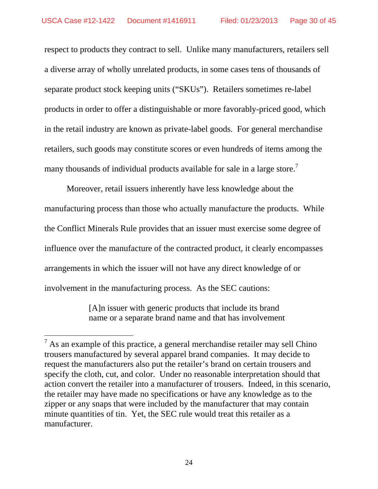respect to products they contract to sell. Unlike many manufacturers, retailers sell a diverse array of wholly unrelated products, in some cases tens of thousands of separate product stock keeping units ("SKUs"). Retailers sometimes re-label products in order to offer a distinguishable or more favorably-priced good, which in the retail industry are known as private-label goods. For general merchandise retailers, such goods may constitute scores or even hundreds of items among the many thousands of individual products available for sale in a large store.<sup>7</sup>

Moreover, retail issuers inherently have less knowledge about the manufacturing process than those who actually manufacture the products. While the Conflict Minerals Rule provides that an issuer must exercise some degree of influence over the manufacture of the contracted product, it clearly encompasses arrangements in which the issuer will not have any direct knowledge of or involvement in the manufacturing process. As the SEC cautions:

> [A]n issuer with generic products that include its brand name or a separate brand name and that has involvement

 $\overline{a}$ 

 $<sup>7</sup>$  As an example of this practice, a general merchandise retailer may sell Chino</sup> trousers manufactured by several apparel brand companies. It may decide to request the manufacturers also put the retailer's brand on certain trousers and specify the cloth, cut, and color. Under no reasonable interpretation should that action convert the retailer into a manufacturer of trousers. Indeed, in this scenario, the retailer may have made no specifications or have any knowledge as to the zipper or any snaps that were included by the manufacturer that may contain minute quantities of tin. Yet, the SEC rule would treat this retailer as a manufacturer.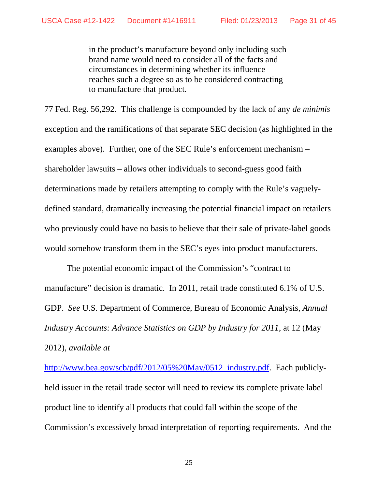in the product's manufacture beyond only including such brand name would need to consider all of the facts and circumstances in determining whether its influence reaches such a degree so as to be considered contracting to manufacture that product.

77 Fed. Reg. 56,292. This challenge is compounded by the lack of any *de minimis*  exception and the ramifications of that separate SEC decision (as highlighted in the examples above). Further, one of the SEC Rule's enforcement mechanism – shareholder lawsuits – allows other individuals to second-guess good faith determinations made by retailers attempting to comply with the Rule's vaguelydefined standard, dramatically increasing the potential financial impact on retailers who previously could have no basis to believe that their sale of private-label goods would somehow transform them in the SEC's eyes into product manufacturers.

The potential economic impact of the Commission's "contract to manufacture" decision is dramatic. In 2011, retail trade constituted 6.1% of U.S. GDP. *See* U.S. Department of Commerce, Bureau of Economic Analysis, *Annual Industry Accounts: Advance Statistics on GDP by Industry for 2011*, at 12 (May 2012), *available at* 

http://www.bea.gov/scb/pdf/2012/05%20May/0512\_industry.pdf. Each publiclyheld issuer in the retail trade sector will need to review its complete private label product line to identify all products that could fall within the scope of the Commission's excessively broad interpretation of reporting requirements. And the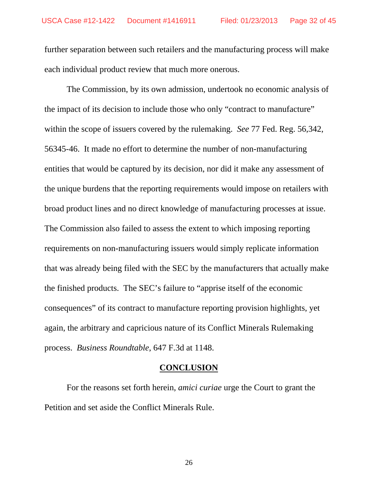further separation between such retailers and the manufacturing process will make each individual product review that much more onerous.

The Commission, by its own admission, undertook no economic analysis of the impact of its decision to include those who only "contract to manufacture" within the scope of issuers covered by the rulemaking. *See* 77 Fed. Reg. 56,342, 56345-46. It made no effort to determine the number of non-manufacturing entities that would be captured by its decision, nor did it make any assessment of the unique burdens that the reporting requirements would impose on retailers with broad product lines and no direct knowledge of manufacturing processes at issue. The Commission also failed to assess the extent to which imposing reporting requirements on non-manufacturing issuers would simply replicate information that was already being filed with the SEC by the manufacturers that actually make the finished products. The SEC's failure to "apprise itself of the economic consequences" of its contract to manufacture reporting provision highlights, yet again, the arbitrary and capricious nature of its Conflict Minerals Rulemaking process. *Business Roundtable*, 647 F.3d at 1148.

### **CONCLUSION**

 For the reasons set forth herein, *amici curiae* urge the Court to grant the Petition and set aside the Conflict Minerals Rule.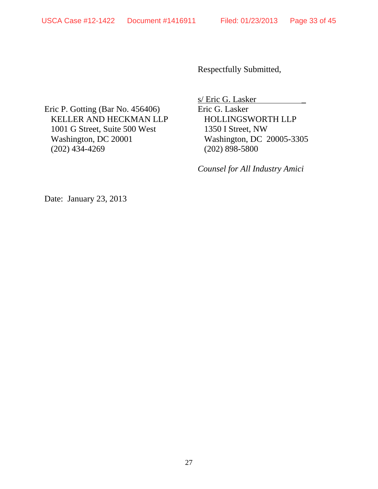Respectfully Submitted,

Eric P. Gotting (Bar No. 456406) KELLER AND HECKMAN LLP 1001 G Street, Suite 500 West Washington, DC 20001 (202) 434-4269

s/ Eric G. Lasker \_ Eric G. Lasker HOLLINGSWORTH LLP 1350 I Street, NW Washington, DC 20005-3305 (202) 898-5800

*Counsel for All Industry Amici* 

Date: January 23, 2013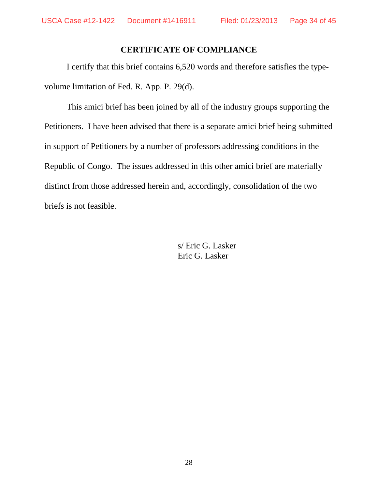### **CERTIFICATE OF COMPLIANCE**

I certify that this brief contains 6,520 words and therefore satisfies the typevolume limitation of Fed. R. App. P. 29(d).

 This amici brief has been joined by all of the industry groups supporting the Petitioners. I have been advised that there is a separate amici brief being submitted in support of Petitioners by a number of professors addressing conditions in the Republic of Congo. The issues addressed in this other amici brief are materially distinct from those addressed herein and, accordingly, consolidation of the two briefs is not feasible.

> s/ Eric G. Lasker Eric G. Lasker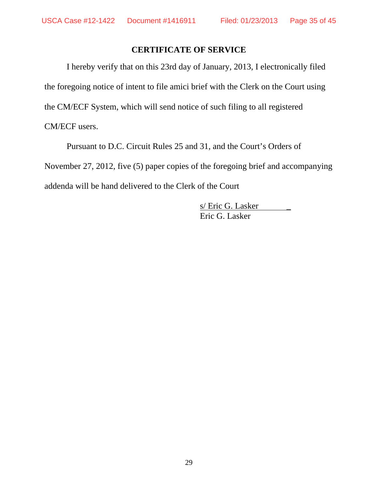### **CERTIFICATE OF SERVICE**

I hereby verify that on this 23rd day of January, 2013, I electronically filed the foregoing notice of intent to file amici brief with the Clerk on the Court using the CM/ECF System, which will send notice of such filing to all registered CM/ECF users.

 Pursuant to D.C. Circuit Rules 25 and 31, and the Court's Orders of November 27, 2012, five (5) paper copies of the foregoing brief and accompanying addenda will be hand delivered to the Clerk of the Court

> s/ Eric G. Lasker Eric G. Lasker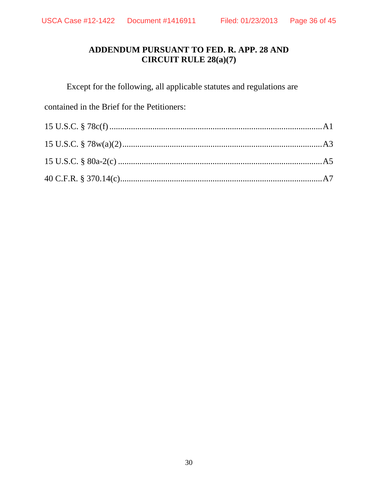# **ADDENDUM PURSUANT TO FED. R. APP. 28 AND CIRCUIT RULE 28(a)(7)**

Except for the following, all applicable statutes and regulations are

contained in the Brief for the Petitioners: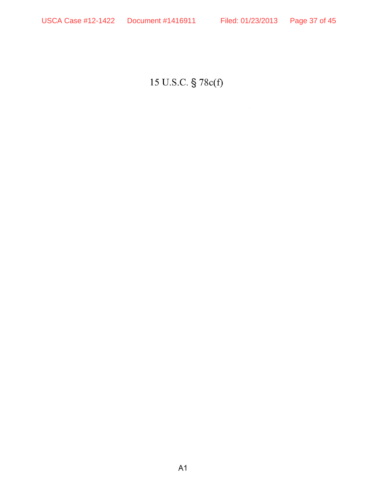15 U.S.C. § 78c(f)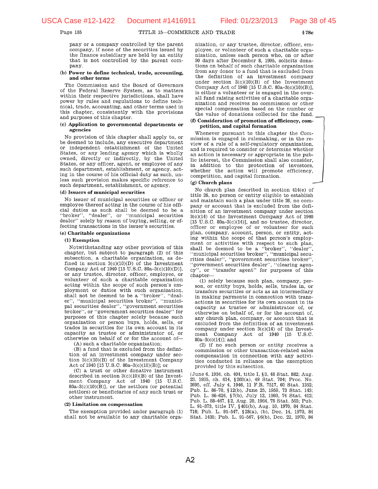$§78c$ 

Page 185

pany or a company controlled by the parent company, if none of the securities issued by the finance subsidiary are held by an entity that is not controlled by the parent company.

#### (b) Power to define technical, trade, accounting, and other terms

The Commission and the Board of Governors of the Federal Reserve System, as to matters within their respective jurisdictions, shall have power by rules and regulations to define technical, trade, accounting, and other terms used in this chapter, consistently with the provisions and purposes of this chapter.

#### (c) Application to governmental departments or agencies

No provision of this chapter shall apply to, or be deemed to include, any executive department or independent establishment of the United States, or any lending agency which is wholly owned, directly or indirectly, by the United States, or any officer, agent, or employee of any such department, establishment, or agency, acting in the course of his official duty as such, unless such provision makes specific reference to such department, establishment, or agency.

#### (d) Issuers of municipal securities

No issuer of municipal securities or officer or employee thereof acting in the course of his official duties as such shall be deemed to be a "broker", "dealer", or "municipal securities dealer" solely by reason of buying, selling, or effecting transactions in the issuer's securities.

#### (e) Charitable organizations

#### (1) Exemption

Notwithstanding any other provision of this chapter, but subject to paragraph (2) of this subsection, a charitable organization, as defined in section  $3(c)(10)(D)$  of the Investment Company Act of 1940 [15 U.S.C. 80a-3(c)(10)(D)], or any trustee, director, officer, employee, or volunteer of such a charitable organization acting within the scope of such person's employment or duties with such organization, shall not be deemed to be a "broker", "dealer", "municipal securities broker", "municipal securities dealer", "government securities broker", or "government securities dealer" for purposes of this chapter solely because such organization or person buys, holds, sells, or trades in securities for its own account in its capacity as trustee or administrator of, or otherwise on behalf of or for the account of-

(A) such a charitable organization;

(B) a fund that is excluded from the definition of an investment company under section  $3(c)(10)(B)$  of the Investment Company Act of 1940 [15 U.S.C. 80a-3(c)(10)(B)]; or

(C) a trust or other donative instrument described in section  $3(c)(10)(B)$  of the Investment Company Act of 1940 [15 U.S.C.  $80a-3(c)(10)(B)$ , or the settlors (or potential settlors) or beneficiaries of any such trust or other instrument.

#### (2) Limitation on compensation

The exemption provided under paragraph (1) shall not be available to any charitable organization, or any trustee, director, officer, employee, or volunteer of such a charitable organization, unless each person who, on or after 90 days after December 8, 1995, solicits donations on behalf of such charitable organization from any donor to a fund that is excluded from the definition of an investment company under section 3(c)(10)(B) of the Investment<br>Company Act of 1940 [15 U.S.C. 80a-3(c)(10)(B)], is either a volunteer or is engaged in the overall fund raising activities of a charitable organization and receives no commission or other special compensation based on the number or the value of donations collected for the fund.

#### (f) Consideration of promotion of efficiency, competition, and capital formation

Whenever pursuant to this chapter the Commission is engaged in rulemaking, or in the review of a rule of a self-regulatory organization, and is required to consider or determine whether an action is necessary or appropriate in the public interest, the Commission shall also consider, in addition to the protection of investors, whether the action will promote efficiency, competition, and capital formation.

### $(g)$  Church plans

No church plan described in section 414(e) of title 26, no person or entity eligible to establish and maintain such a plan under title 26, no company or account that is excluded from the definition of an investment company under section 3(c)(14) of the Investment Company Act of 1940  $[15 \text{ U.S.C. } 80a-3(c)(14)]$ , and no trustee, director, officer or employee of or volunteer for such plan, company, account, person, or entity, acting within the scope of that person's employment or activities with respect to such plan. shall be deemed to be a "broker", "dealer", "municipal securities broker", "municipal securities dealer", "government securities broker", "government securities dealer", "clearing agency", or "transfer agent" for purposes of this chapter-

(1) solely because such plan, company, person, or entity buys, holds, sells, trades in, or transfers securities or acts as an intermediary in making payments in connection with transactions in securities for its own account in its capacity as trustee or administrator of, or otherwise on behalf of, or for the account of, any church plan, company, or account that is excluded from the definition of an investment company under section  $3(c)(14)$  of the Investment Company Act of 1940 [15 U.S.C.  $80a-3(c)(14)$ ; and

(2) if no such person or entity receives a commission or other transaction-related sales compensation in connection with any activities conducted in reliance on the exemption provided by this subsection.

(June 6, 1934, ch. 404, title I, §3, 48 Stat. 882; Aug. 23, 1935, ch. 614, §203(a), 49 Stat. 704; Proc. No. 2695, eff. July 4, 1946, 11 F.R. 7517, 60 Stat. 1352; Pub. L. 86-70, §12(b), June 25, 1959, 73 Stat. 143; Pub. L. 86-624, §7(b), July 12, 1960, 74 Stat. 412; Pub. L. 88-467, §2, Aug. 20, 1964, 78 Stat. 565; Pub. L. 91-373, title IV, §401(b), Aug. 10, 1970, 84 Stat. 718; Pub. L. 91-547, §28(a), (b), Dec. 14, 1970, 84 Stat. 1435; Pub. L. 91-567, §6(b), Dec. 22, 1970, 84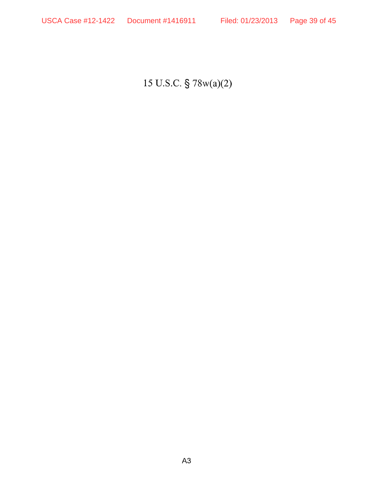15 U.S.C. § 78w(a)(2)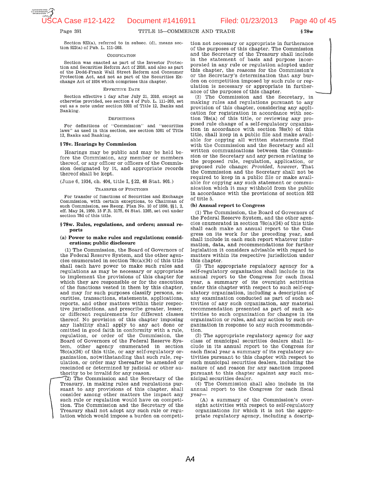

 $§78w$ 

Page 391

TITLE 15-COMMERCE AND TRADE

Section  $922(a)$ , referred to in subsec. (d), means section 922(a) of Pub. L. 111-203.

#### CODIFICATION

Section was enacted as part of the Investor Protection and Securities Reform Act of 2010, and also as part of the Dodd-Frank Wall Street Reform and Consumer Protection Act, and not as part of the Securities Exchange Act of 1934 which comprises this chapter.

#### EFFECTIVE DATE

Section effective 1 day after July 21, 2010, except as otherwise provided, see section 4 of Pub. L. 111-203, set out as a note under section 5301 of Title 12, Banks and Banking.

#### **DEFINITIONS**

For definitions of "Commission" and "securities laws" as used in this section, see section 5301 of Title 12, Banks and Banking.

#### §78v. Hearings by Commission

Hearings may be public and may be held before the Commission, any member or members thereof, or any officer or officers of the Commission designated by it, and appropriate records thereof shall be kept.

(June 6, 1934, ch. 404, title I, §22, 48 Stat. 901.)

#### TRANSFER OF FUNCTIONS

For transfer of functions of Securities and Exchange Commission, with certain exceptions, to Chairman of such Commission, see Reorg. Plan No. 10 of 1950, §§1, 2, eff. May 24, 1950, 15 F.R. 3175, 64 Stat. 1265, set out under section 78d of this title.

#### §78w. Rules, regulations, and orders; annual reports

#### (a) Power to make rules and regulations; considerations; public disclosure

(1) The Commission, the Board of Governors of the Federal Reserve System, and the other agencies enumerated in section  $78c(a)(34)$  of this title shall each have power to make such rules and regulations as may be necessary or appropriate to implement the provisions of this chapter for which they are responsible or for the execution of the functions vested in them by this chapter, and may for such purposes classify persons, securities, transactions, statements, applications, reports, and other matters within their respective jurisdictions, and prescribe greater, lesser, or different requirements for different classes thereof. No provision of this chapter imposing any liability shall apply to any act done or omitted in good faith in conformity with a rule, regulation, or order of the Commission, the Board of Governors of the Federal Reserve System, other agency enumerated in section  $78c(a)(34)$  of this title, or any self-regulatory organization, notwithstanding that such rule, regulation, or order may thereafter be amended or rescinded or determined by judicial or other authority to be invalid for any reason.

(2) The Commission and the Secretary of the Treasury, in making rules and regulations pursuant to any provisions of this chapter, shall consider among other matters the impact any such rule or regulation would have on competition. The Commission and the Secretary of the Treasury shall not adopt any such rule or regulation which would impose a burden on competition not necessary or appropriate in furtherance of the purposes of this chapter. The Commission and the Secretary of the Treasury shall include in the statement of basis and purpose incorporated in any rule or regulation adopted under this chapter, the reasons for the Commission's or the Secretary's determination that any burden on competition imposed by such rule or regulation is necessary or appropriate in furtherance of the purposes of this chapter.

(3) The Commission and the Secretary, in making rules and regulations pursuant to any provision of this chapter, considering any application for registration in accordance with section 78s(a) of this title, or reviewing any proposed rule change of a self-regulatory organization in accordance with section 78s(b) of this title, shall keep in a public file and make available for copying all written statements filed with the Commission and the Secretary and all written communications between the Commission or the Secretary and any person relating to the proposed rule, regulation, application, or proposed rule change: Provided, however, That the Commission and the Secretary shall not be required to keep in a public file or make available for copying any such statement or communication which it may withhold from the public in accordance with the provisions of section 552 of title 5.

#### (b) Annual report to Congress

(1) The Commission, the Board of Governors of the Federal Reserve System, and the other agencies enumerated in section 78c(a)(34) of this title shall each make an annual report to the Congress on its work for the preceding year, and shall include in each such report whatever information, data, and recommendations for further legislation it considers advisable with regard to matters within its respective jurisdiction under this chapter.

(2) The appropriate regulatory agency for a self-regulatory organization shall include in its annual report to the Congress for each fiscal year, a summary of its oversight activities under this chapter with respect to such self-regulatory organization, including a description of any examination conducted as part of such activities of any such organization, any material recommendation presented as part of such activities to such organization for changes in its organization or rules, and any action by such organization in response to any such recommendation.

(3) The appropriate regulatory agency for any class of municipal securities dealers shall include in its annual report to the Congress for each fiscal year a summary of its regulatory activities pursuant to this chapter with respect to such municipal securities dealers, including the nature of and reason for any sanction imposed pursuant to this chapter against any such municipal securities dealer.

 $(4)$  The Commission shall also include in its annual report to the Congress for each fiscal year-

(A) a summary of the Commission's oversight activities with respect to self-regulatory organizations for which it is not the appropriate regulatory agency, including a descrip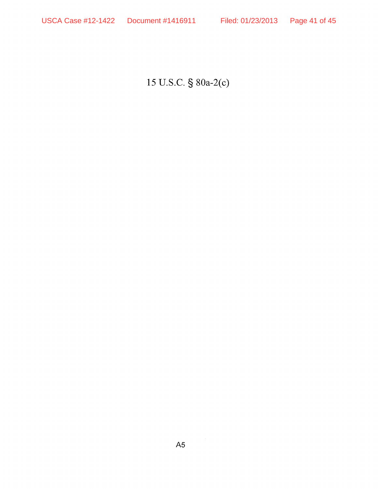15 U.S.C. § 80a-2(c)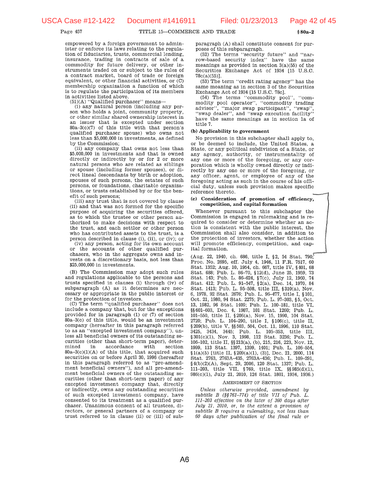$$80a - 2$ 

#### Page 457

TITLE 15-COMMERCE AND TRADE

empowered by a foreign government to administer or enforce its laws relating to the regulation of fiduciaries, trusts, commercial lending, insurance, trading in contracts of sale of a commodity for future delivery, or other instruments traded on or subject to the rules of a contract market, board of trade or foreign equivalent, or other financial activities, or  $(C)$ membership organization a function of which is to regulate the participation of its members in activities listed above.

(51)(A) "Qualified purchaser" means-

 $(i)$  any natural person (including any person who holds a joint, community property, or other similar shared ownership interest in an issuer that is excepted under section  $80a-3(c)(7)$  of this title with that person's qualified purchaser spouse) who owns not less than \$5,000,000 in investments, as defined by the Commission;

(ii) any company that owns not less than \$5,000,000 in investments and that is owned directly or indirectly by or for 2 or more natural persons who are related as siblings or spouse (including former spouses), or direct lineal descendants by birth or adoption. spouses of such persons, the estates of such persons, or foundations, charitable organizations, or trusts established by or for the benefit of such persons:

(iii) any trust that is not covered by clause (ii) and that was not formed for the specific purpose of acquiring the securities offered, as to which the trustee or other person authorized to make decisions with respect to the trust, and each settlor or other person who has contributed assets to the trust, is a person described in clause (i), (ii), or (iv); or

(iv) any person, acting for its own account or the accounts of other qualified purchasers, who in the aggregate owns and invests on a discretionary basis, not less than \$25,000,000 in investments.

(B) The Commission may adopt such rules and regulations applicable to the persons and trusts specified in clauses (i) through (iv) of subparagraph (A) as it determines are necessary or appropriate in the public interest or for the protection of investors.

(C) The term "qualified purchaser" does not include a company that, but for the exceptions provided for in paragraph  $(1)$  or  $(7)$  of section 80a-3(c) of this title, would be an investment company (hereafter in this paragraph referred to as an "excepted investment company"), unless all beneficial owners of its outstanding securities (other than short-term paper), determined in accordance with section  $80a-3(c)(1)(A)$  of this title, that acquired such securities on or before April 30, 1996 (hereafter in this paragraph referred to as "pre-amendment beneficial owners"), and all pre-amendment beneficial owners of the outstanding securities (other than short-term paper) of any excepted investment company that, directly or indirectly, owns any outstanding securities of such excepted investment company, have consented to its treatment as a qualified purchaser. Unanimous consent of all trustees, directors, or general partners of a company or trust referred to in clause (ii) or (iii) of subparagraph (A) shall constitute consent for purposes of this subparagraph.

(52) The terms "security future" and "narrow-based security index" have the same meanings as provided in section  $3(a)(55)$  of the Securities Exchange Act of 1934 [15 U.S.C. 78c(a)(55)].

(53) The term "credit rating agency" has the same meaning as in section 3 of the Securities Exchange Act of 1934 [15 U.S.C. 78c].

(54) The terms "commodity pool", "commodity pool operator", "commodity trading<br>advisor", "major swap participant", "swap",<br>"swap dealer", and "swap execution facility" have the same meanings as in section la of title 7.

#### (b) Applicability to government

No provision in this subchapter shall apply to, or be deemed to include, the United States, a State, or any political subdivision of a State, or any agency, authority, or instrumentality of any one or more of the foregoing, or any corporation which is wholly owned directly or indirectly by any one or more of the foregoing, or any officer, agent, or employee of any of the foregoing acting as such in the course of his official duty, unless such provision makes specific reference thereto.

#### (c) Consideration of promotion of efficiency, competition, and capital formation

Whenever pursuant to this subchapter the Commission is engaged in rulemaking and is required to consider or determine whether an action is consistent with the public interest, the Commission shall also consider, in addition to the protection of investors, whether the action will promote efficiency, competition, and capital formation.

(Aug. 22, 1940, ch. 686, title I, §2, 54 Stat. 790, Proc. No. 2695, eff. July 4, 1946, 11 F.R. 7517, 60 Stat. 1352; Aug. 10, 1954, ch. 667, title IV, §401, 68 Stat. 688; Pub. L. 86-70, §12(d), June 25, 1959, 73 Stat. 143; Pub. L. 86-624, §7(c), July 12, 1960, 74<br>Stat. 143; Pub. L. 86-624, §7(c), July 12, 1960, 74<br>Stat. 412; Pub. L. 91-547, §2(a), Dec. 14, 1970, 84 Stat. 1413; Pub. L. 95-598, title III, §310(a), Nov. 6, 1978, 92 Stat. 2676; Pub. L. 96-477, title I, §101, Oct. 21, 1980, 94 Stat. 2275; Pub. L. 97-303, §5, Oct. 13, 1982, 96 Stat. 1409; Pub. L. 100-181, title VI, §§ 601-603, Dec. 4, 1987, 101 Stat. 1260; Pub. L. 101-550, title II, § 206(a), Nov. 15, 1990, 104 Stat. 2720; Pub. L. 104-290, title I, §106(c), title II, §209(b), title V, §§503, 504, Oct. 11, 1996, 110 Stat. 3425, 3434, 3445; Pub. L. 105-353, title III, §301(c)(1), Nov. 3, 1998, 112 Stat. 3236; Pub. L. 106-102, title II, §§ 213(a), (b), 215, 216, 223, Nov. 12, 1999, 113 Stat. 1397, 1399, 1401; Pub. L. 106-554,  $(3)(5)$  [title II,  $(20)(3)(1)$ , (3)], Dec. 21, 2000, 114 Stat. 2763, 2763A-435, 2763A-436; Pub. L. 109-291, §4(b)(2)(A), Sept. 29, 2006, 120 Stat. 1337; Pub. L. 311-203, title VII, §769, title IX, §§985(d)(1),<br>986(c)(1), July 21, 2010, 124 Stat. 1801, 1934, 1936.)

#### **AMENDMENT OF SECTION**

Unless otherwise provided, amendment by subtitle B (§§761-774) of title VII of Pub. L. 111-203 effective on the later of 360 days after July 21, 2010, or, to the extent a provision of subtitle B requires a rulemaking, not less than 60 days after publication of the final rule or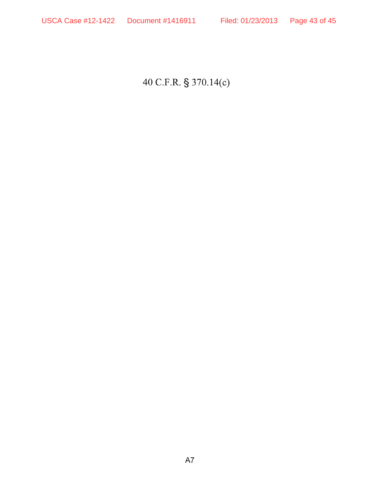40 C.F.R. § 370.14(c)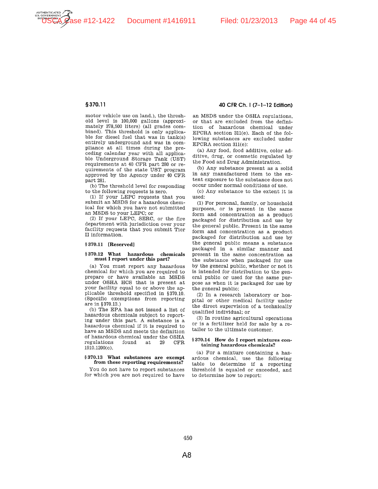



**UTHENTICATED GOVERNMEN** 

### §370.11

motor vehicle use on land.), the threshold level is 100,000 gallons (approximately 378,500 liters) (all grades combined). This threshold is only applicable for diesel fuel that was in tank(s) entirely underground and was in compliance at all times during the preceding calendar year with all applicable Underground Storage Tank (UST) requirements at 40 CFR part 280 or requirements of the state UST program approved by the Agency under 40 CFR part 281.

(b) The threshold level for responding to the following requests is zero.

(1) If your LEPC requests that you submit an MSDS for a hazardous chemical for which you have not submitted an MSDS to your LEPC; or

(2) If your LEPC, SERC, or the fire department with jurisdiction over your facility requests that you submit Tier II information.

#### §370.11 [Reserved]

#### §370.12 What hazardous chemicals must I report under this part?

(a) You must report any hazardous chemical for which you are required to prepare or have available an MSDS under OSHA HCS that is present at your facility equal to or above the applicable threshold specified in §370.10. (Specific exemptions from reporting are in §370.13.)

(b) The EPA has not issued a list of hazardous chemicals subject to reporting under this part. A substance is a hazardous chemical if it is required to have an MSDS and meets the definition of hazardous chemical under the OSHA regulations found at 29 CF<sub>R</sub>  $1910.1200(c)$ .

#### §370.13 What substances are exempt from these reporting requirements?

You do not have to report substances for which you are not required to have an MSDS under the OSHA regulations, or that are excluded from the definition of hazardous chemical under EPCRA section 311(e). Each of the following substances are excluded under EPCRA section 311(e):

40 CFR Ch. I (7-1-12 Edition)

(a) Any food, food additive, color additive, drug, or cosmetic regulated by the Food and Drug Administration.

(b) Any substance present as a solid in any manufactured item to the extent exposure to the substance does not occur under normal conditions of use.

(c) Any substance to the extent it is used:

(1) For personal, family, or household purposes, or is present in the same form and concentration as a product packaged for distribution and use by the general public. Present in the same form and concentration as a product packaged for distribution and use by the general public means a substance packaged in a similar manner and present in the same concentration as the substance when packaged for use by the general public, whether or not it is intended for distribution to the general public or used for the same purpose as when it is packaged for use by the general public;

(2) In a research laboratory or hospital or other medical facility under the direct supervision of a technically qualified individual; or

(3) In routine agricultural operations or is a fertilizer held for sale by a retailer to the ultimate customer.

#### §370.14 How do I report mixtures containing hazardous chemicals?

(a) For a mixture containing a hazardous chemical, use the following table to determine if a reporting threshold is equaled or exceeded, and to determine how to report: